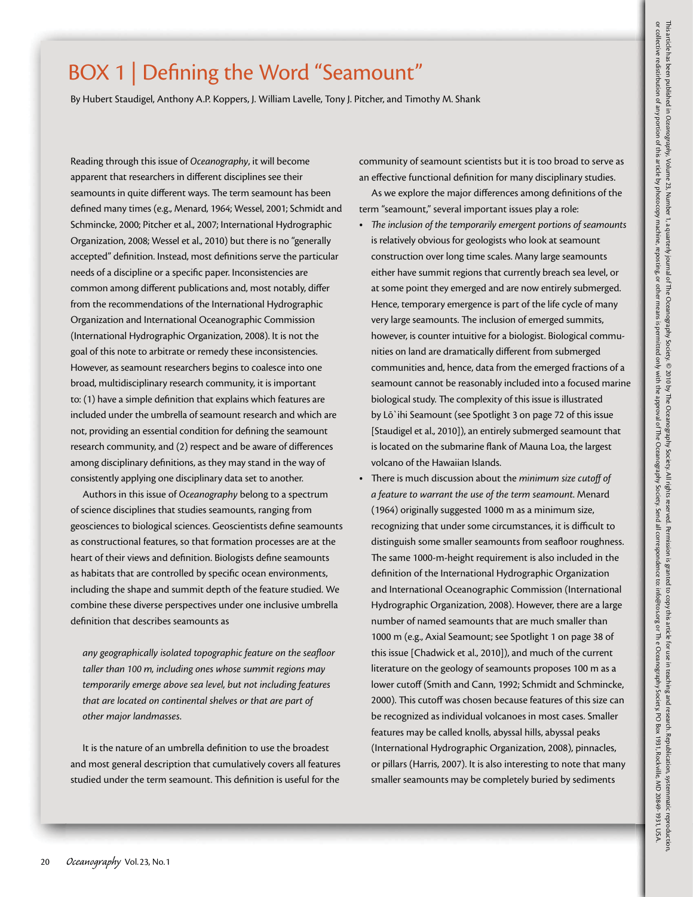## BOX 1 | Defining the Word "Seamount"

By Hubert Staudigel, Anthony A.P. Koppers, J. William Lavelle, Tony J. Pitcher, and Timothy M. Shank

Reading through this issue of *Oceanography*, it will become apparent that researchers in different disciplines see their seamounts in quite different ways. The term seamount has been defined many times (e.g., Menard, 1964; Wessel, 2001; Schmidt and Schmincke, 2000; Pitcher et al., 2007; International Hydrographic Organization, 2008; Wessel et al., 2010) but there is no "generally accepted" definition. Instead, most definitions serve the particular needs of a discipline or a specific paper. Inconsistencies are common among different publications and, most notably, differ from the recommendations of the International Hydrographic Organization and International Oceanographic Commission (International Hydrographic Organization, 2008). It is not the goal of this note to arbitrate or remedy these inconsistencies. However, as seamount researchers begins to coalesce into one broad, multidisciplinary research community, it is important to: (1) have a simple definition that explains which features are included under the umbrella of seamount research and which are not, providing an essential condition for defining the seamount research community, and (2) respect and be aware of differences among disciplinary definitions, as they may stand in the way of consistently applying one disciplinary data set to another.

Authors in this issue of *Oceanography* belong to a spectrum of science disciplines that studies seamounts, ranging from geosciences to biological sciences. Geoscientists define seamounts as constructional features, so that formation processes are at the heart of their views and definition. Biologists define seamounts as habitats that are controlled by specific ocean environments, including the shape and summit depth of the feature studied. We combine these diverse perspectives under one inclusive umbrella definition that describes seamounts as

*any geographically isolated topographic feature on the seafloor taller than 100 m, including ones whose summit regions may temporarily emerge above sea level, but not including features that are located on continental shelves or that are part of other major landmasses*.

It is the nature of an umbrella definition to use the broadest and most general description that cumulatively covers all features studied under the term seamount. This definition is useful for the

community of seamount scientists but it is too broad to serve as an effective functional definition for many disciplinary studies.

As we explore the major differences among definitions of the term "seamount," several important issues play a role:

- The inclusion of the temporarily emergent portions of seamounts is relatively obvious for geologists who look at seamount construction over long time scales. Many large seamounts either have summit regions that currently breach sea level, or at some point they emerged and are now entirely submerged. Hence, temporary emergence is part of the life cycle of many very large seamounts. The inclusion of emerged summits, however, is counter intuitive for a biologist. Biological communities on land are dramatically different from submerged communities and, hence, data from the emerged fractions of a seamount cannot be reasonably included into a focused marine biological study. The complexity of this issue is illustrated by Lō`ihi Seamount (see Spotlight 3 on page 72 of this issue [Staudigel et al., 2010]), an entirely submerged seamount that is located on the submarine flank of Mauna Loa, the largest volcano of the Hawaiian Islands.
- t There is much discussion about the *minimum size cutoff of a feature to warrant the use of the term seamount*. Menard (1964) originally suggested 1000 m as a minimum size, recognizing that under some circumstances, it is difficult to distinguish some smaller seamounts from seafloor roughness. The same 1000-m-height requirement is also included in the definition of the International Hydrographic Organization and International Oceanographic Commission (International Hydrographic Organization, 2008). However, there are a large number of named seamounts that are much smaller than 1000 m (e.g., Axial Seamount; see Spotlight 1 on page 38 of this issue [Chadwick et al., 2010]), and much of the current literature on the geology of seamounts proposes 100 m as a lower cutoff (Smith and Cann, 1992; Schmidt and Schmincke, 2000). This cutoff was chosen because features of this size can be recognized as individual volcanoes in most cases. Smaller features may be called knolls, abyssal hills, abyssal peaks (International Hydrographic Organization, 2008), pinnacles, or pillars (Harris, 2007). It is also interesting to note that many smaller seamounts may be completely buried by sediments